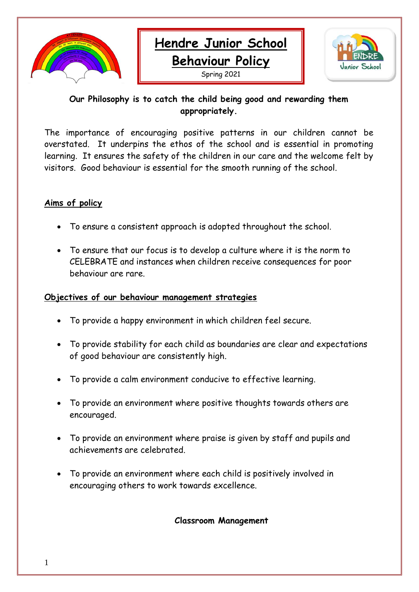



# **Our Philosophy is to catch the child being good and rewarding them appropriately.**

The importance of encouraging positive patterns in our children cannot be overstated. It underpins the ethos of the school and is essential in promoting learning. It ensures the safety of the children in our care and the welcome felt by visitors. Good behaviour is essential for the smooth running of the school.

# **Aims of policy**

- To ensure a consistent approach is adopted throughout the school.
- To ensure that our focus is to develop a culture where it is the norm to CELEBRATE and instances when children receive consequences for poor behaviour are rare.

### **Objectives of our behaviour management strategies**

- To provide a happy environment in which children feel secure.
- To provide stability for each child as boundaries are clear and expectations of good behaviour are consistently high.
- To provide a calm environment conducive to effective learning.
- To provide an environment where positive thoughts towards others are encouraged.
- To provide an environment where praise is given by staff and pupils and achievements are celebrated.
- To provide an environment where each child is positively involved in encouraging others to work towards excellence.

**Classroom Management**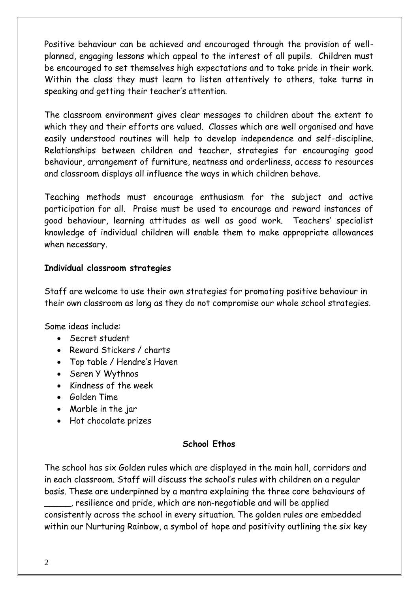Positive behaviour can be achieved and encouraged through the provision of wellplanned, engaging lessons which appeal to the interest of all pupils. Children must be encouraged to set themselves high expectations and to take pride in their work. Within the class they must learn to listen attentively to others, take turns in speaking and getting their teacher's attention.

The classroom environment gives clear messages to children about the extent to which they and their efforts are valued. Classes which are well organised and have easily understood routines will help to develop independence and self-discipline. Relationships between children and teacher, strategies for encouraging good behaviour, arrangement of furniture, neatness and orderliness, access to resources and classroom displays all influence the ways in which children behave.

Teaching methods must encourage enthusiasm for the subject and active participation for all. Praise must be used to encourage and reward instances of good behaviour, learning attitudes as well as good work. Teachers' specialist knowledge of individual children will enable them to make appropriate allowances when necessary.

### **Individual classroom strategies**

Staff are welcome to use their own strategies for promoting positive behaviour in their own classroom as long as they do not compromise our whole school strategies.

Some ideas include:

- Secret student
- Reward Stickers / charts
- Top table / Hendre's Haven
- Seren Y Wythnos
- Kindness of the week
- Golden Time
- Marble in the jar
- Hot chocolate prizes

## **School Ethos**

The school has six Golden rules which are displayed in the main hall, corridors and in each classroom. Staff will discuss the school's rules with children on a regular basis. These are underpinned by a mantra explaining the three core behaviours of

\_\_\_\_\_, resilience and pride, which are non-negotiable and will be applied consistently across the school in every situation. The golden rules are embedded within our Nurturing Rainbow, a symbol of hope and positivity outlining the six key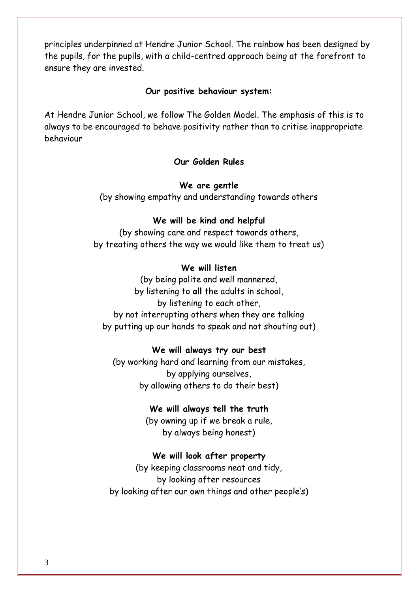principles underpinned at Hendre Junior School. The rainbow has been designed by the pupils, for the pupils, with a child-centred approach being at the forefront to ensure they are invested.

#### **Our positive behaviour system:**

At Hendre Junior School, we follow The Golden Model. The emphasis of this is to always to be encouraged to behave positivity rather than to critise inappropriate behaviour

#### **Our Golden Rules**

#### **We are gentle**

(by showing empathy and understanding towards others

#### **We will be kind and helpful**

(by showing care and respect towards others, by treating others the way we would like them to treat us)

#### **We will listen**

(by being polite and well mannered, by listening to **all** the adults in school, by listening to each other, by not interrupting others when they are talking by putting up our hands to speak and not shouting out)

#### **We will always try our best**

(by working hard and learning from our mistakes, by applying ourselves, by allowing others to do their best)

#### **We will always tell the truth**

(by owning up if we break a rule, by always being honest)

#### **We will look after property**

(by keeping classrooms neat and tidy, by looking after resources by looking after our own things and other people's)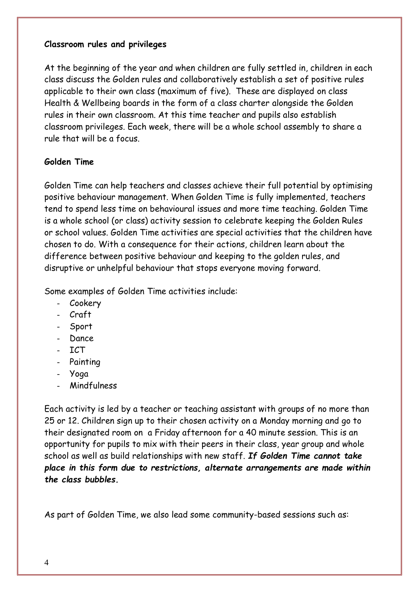#### **Classroom rules and privileges**

At the beginning of the year and when children are fully settled in, children in each class discuss the Golden rules and collaboratively establish a set of positive rules applicable to their own class (maximum of five). These are displayed on class Health & Wellbeing boards in the form of a class charter alongside the Golden rules in their own classroom. At this time teacher and pupils also establish classroom privileges. Each week, there will be a whole school assembly to share a rule that will be a focus.

### **Golden Time**

Golden Time can help teachers and classes achieve their full potential by optimising positive behaviour management. When Golden Time is fully implemented, teachers tend to spend less time on behavioural issues and more time teaching. Golden Time is a whole school (or class) activity session to celebrate keeping the Golden Rules or school values. Golden Time activities are special activities that the children have chosen to do. With a consequence for their actions, children learn about the difference between positive behaviour and keeping to the golden rules, and disruptive or unhelpful behaviour that stops everyone moving forward.

Some examples of Golden Time activities include:

- Cookery
- Craft
- Sport
- Dance
- ICT
- Painting
- Yoga
- **Mindfulness**

Each activity is led by a teacher or teaching assistant with groups of no more than 25 or 12. Children sign up to their chosen activity on a Monday morning and go to their designated room on a Friday afternoon for a 40 minute session. This is an opportunity for pupils to mix with their peers in their class, year group and whole school as well as build relationships with new staff. *If Golden Time cannot take place in this form due to restrictions, alternate arrangements are made within the class bubbles.*

As part of Golden Time, we also lead some community-based sessions such as: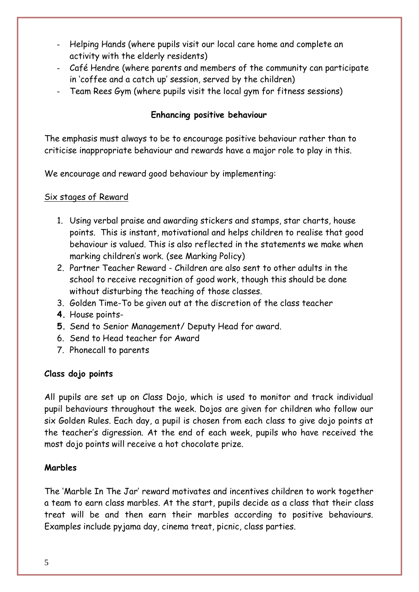- Helping Hands (where pupils visit our local care home and complete an activity with the elderly residents)
- Café Hendre (where parents and members of the community can participate in 'coffee and a catch up' session, served by the children)
- Team Rees Gym (where pupils visit the local gym for fitness sessions)

# **Enhancing positive behaviour**

The emphasis must always to be to encourage positive behaviour rather than to criticise inappropriate behaviour and rewards have a major role to play in this.

We encourage and reward good behaviour by implementing:

## Six stages of Reward

- 1. Using verbal praise and awarding stickers and stamps, star charts, house points. This is instant, motivational and helps children to realise that good behaviour is valued. This is also reflected in the statements we make when marking children's work. (see Marking Policy)
- 2. Partner Teacher Reward Children are also sent to other adults in the school to receive recognition of good work, though this should be done without disturbing the teaching of those classes.
- 3. Golden Time-To be given out at the discretion of the class teacher
- **4.** House points-
- **5.** Send to Senior Management/ Deputy Head for award.
- 6. Send to Head teacher for Award
- 7. Phonecall to parents

## **Class dojo points**

All pupils are set up on Class Dojo, which is used to monitor and track individual pupil behaviours throughout the week. Dojos are given for children who follow our six Golden Rules. Each day, a pupil is chosen from each class to give dojo points at the teacher's digression. At the end of each week, pupils who have received the most dojo points will receive a hot chocolate prize.

## **Marbles**

The 'Marble In The Jar' reward motivates and incentives children to work together a team to earn class marbles. At the start, pupils decide as a class that their class treat will be and then earn their marbles according to positive behaviours. Examples include pyjama day, cinema treat, picnic, class parties.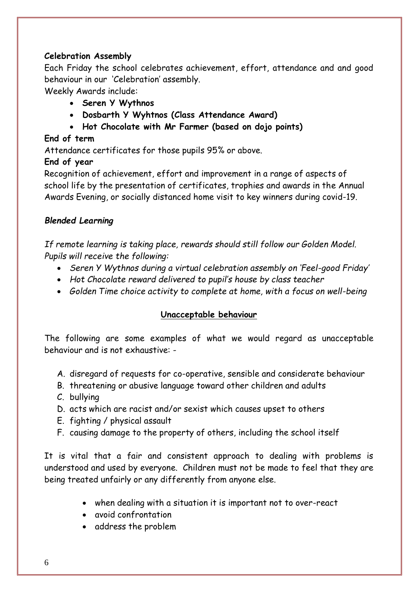## **Celebration Assembly**

Each Friday the school celebrates achievement, effort, attendance and and good behaviour in our 'Celebration' assembly.

Weekly Awards include:

- **Seren Y Wythnos**
- **Dosbarth Y Wyhtnos (Class Attendance Award)**
- **Hot Chocolate with Mr Farmer (based on dojo points)**

# **End of term**

Attendance certificates for those pupils 95% or above.

# **End of year**

Recognition of achievement, effort and improvement in a range of aspects of school life by the presentation of certificates, trophies and awards in the Annual Awards Evening, or socially distanced home visit to key winners during covid-19.

# *Blended Learning*

*If remote learning is taking place, rewards should still follow our Golden Model. Pupils will receive the following:*

- *Seren Y Wythnos during a virtual celebration assembly on 'Feel-good Friday'*
- *Hot Chocolate reward delivered to pupil's house by class teacher*
- *Golden Time choice activity to complete at home, with a focus on well-being*

# **Unacceptable behaviour**

The following are some examples of what we would regard as unacceptable behaviour and is not exhaustive: -

- A. disregard of requests for co-operative, sensible and considerate behaviour
- B. threatening or abusive language toward other children and adults
- C. bullying
- D. acts which are racist and/or sexist which causes upset to others
- E. fighting / physical assault
- F. causing damage to the property of others, including the school itself

It is vital that a fair and consistent approach to dealing with problems is understood and used by everyone. Children must not be made to feel that they are being treated unfairly or any differently from anyone else.

- when dealing with a situation it is important not to over-react
- avoid confrontation
- address the problem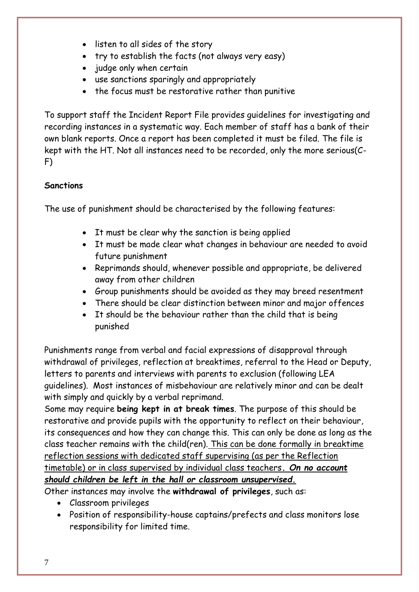- listen to all sides of the story
- try to establish the facts (not always very easy)
- judge only when certain
- use sanctions sparingly and appropriately
- the focus must be restorative rather than punitive

To support staff the Incident Report File provides guidelines for investigating and recording instances in a systematic way. Each member of staff has a bank of their own blank reports. Once a report has been completed it must be filed. The file is kept with the HT. Not all instances need to be recorded, only the more serious(C-F)

# **Sanctions**

The use of punishment should be characterised by the following features:

- It must be clear why the sanction is being applied
- It must be made clear what changes in behaviour are needed to avoid future punishment
- Reprimands should, whenever possible and appropriate, be delivered away from other children
- Group punishments should be avoided as they may breed resentment
- There should be clear distinction between minor and major offences
- It should be the behaviour rather than the child that is being punished

Punishments range from verbal and facial expressions of disapproval through withdrawal of privileges, reflection at breaktimes, referral to the Head or Deputy, letters to parents and interviews with parents to exclusion (following LEA guidelines). Most instances of misbehaviour are relatively minor and can be dealt with simply and quickly by a verbal reprimand.

Some may require **being kept in at break times**. The purpose of this should be restorative and provide pupils with the opportunity to reflect on their behaviour, its consequences and how they can change this. This can only be done as long as the class teacher remains with the child(ren). This can be done formally in breaktime reflection sessions with dedicated staff supervising (as per the Reflection timetable) or in class supervised by individual class teachers*. On no account should children be left in the hall or classroom unsupervised.*

- Other instances may involve the **withdrawal of privileges**, such as:
	- Classroom privileges
	- Position of responsibility-house captains/prefects and class monitors lose responsibility for limited time.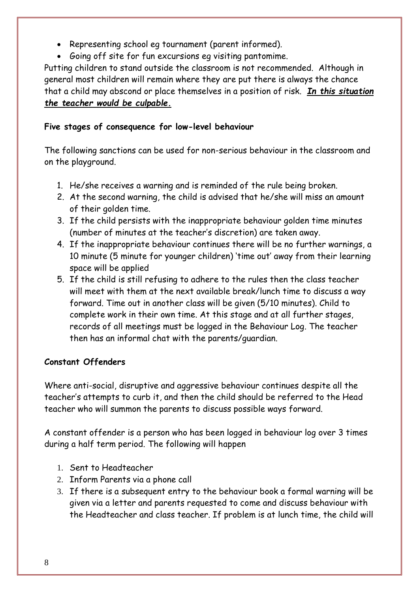- Representing school eg tournament (parent informed).
- Going off site for fun excursions eg visiting pantomime.

Putting children to stand outside the classroom is not recommended. Although in general most children will remain where they are put there is always the chance that a child may abscond or place themselves in a position of risk. *In this situation the teacher would be culpable.*

# **Five stages of consequence for low-level behaviour**

The following sanctions can be used for non-serious behaviour in the classroom and on the playground.

- 1. He/she receives a warning and is reminded of the rule being broken.
- 2. At the second warning, the child is advised that he/she will miss an amount of their golden time.
- 3. If the child persists with the inappropriate behaviour golden time minutes (number of minutes at the teacher's discretion) are taken away.
- 4. If the inappropriate behaviour continues there will be no further warnings, a 10 minute (5 minute for younger children) 'time out' away from their learning space will be applied
- 5. If the child is still refusing to adhere to the rules then the class teacher will meet with them at the next available break/lunch time to discuss a way forward. Time out in another class will be given (5/10 minutes). Child to complete work in their own time. At this stage and at all further stages, records of all meetings must be logged in the Behaviour Log. The teacher then has an informal chat with the parents/guardian.

# **Constant Offenders**

Where anti-social, disruptive and aggressive behaviour continues despite all the teacher's attempts to curb it, and then the child should be referred to the Head teacher who will summon the parents to discuss possible ways forward.

A constant offender is a person who has been logged in behaviour log over 3 times during a half term period. The following will happen

- 1. Sent to Headteacher
- 2. Inform Parents via a phone call
- 3. If there is a subsequent entry to the behaviour book a formal warning will be given via a letter and parents requested to come and discuss behaviour with the Headteacher and class teacher. If problem is at lunch time, the child will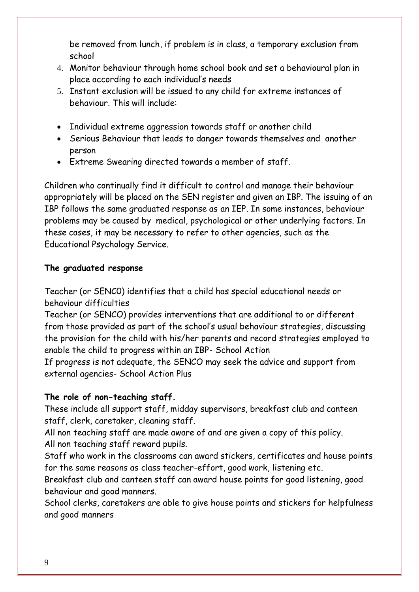be removed from lunch, if problem is in class, a temporary exclusion from school

- 4. Monitor behaviour through home school book and set a behavioural plan in place according to each individual's needs
- 5. Instant exclusion will be issued to any child for extreme instances of behaviour. This will include:
- Individual extreme aggression towards staff or another child
- Serious Behaviour that leads to danger towards themselves and another person
- Extreme Swearing directed towards a member of staff.

Children who continually find it difficult to control and manage their behaviour appropriately will be placed on the SEN register and given an IBP. The issuing of an IBP follows the same graduated response as an IEP. In some instances, behaviour problems may be caused by medical, psychological or other underlying factors. In these cases, it may be necessary to refer to other agencies, such as the Educational Psychology Service.

# **The graduated response**

Teacher (or SENC0) identifies that a child has special educational needs or behaviour difficulties

Teacher (or SENCO) provides interventions that are additional to or different from those provided as part of the school's usual behaviour strategies, discussing the provision for the child with his/her parents and record strategies employed to enable the child to progress within an IBP- School Action

If progress is not adequate, the SENCO may seek the advice and support from external agencies- School Action Plus

# **The role of non-teaching staff.**

These include all support staff, midday supervisors, breakfast club and canteen staff, clerk, caretaker, cleaning staff.

All non teaching staff are made aware of and are given a copy of this policy. All non teaching staff reward pupils.

Staff who work in the classrooms can award stickers, certificates and house points for the same reasons as class teacher-effort, good work, listening etc.

Breakfast club and canteen staff can award house points for good listening, good behaviour and good manners.

School clerks, caretakers are able to give house points and stickers for helpfulness and good manners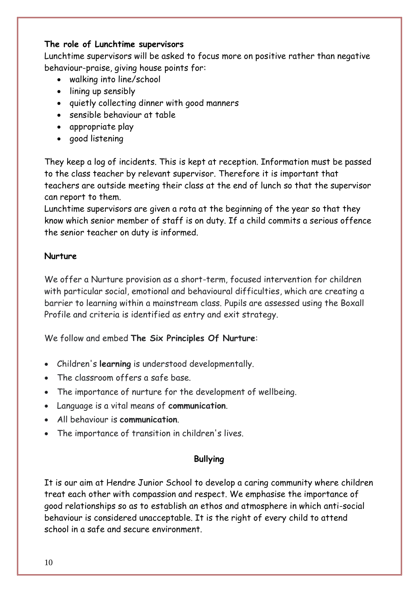### **The role of Lunchtime supervisors**

Lunchtime supervisors will be asked to focus more on positive rather than negative behaviour-praise, giving house points for:

- walking into line/school
- lining up sensibly
- quietly collecting dinner with good manners
- sensible behaviour at table
- appropriate play
- good listening

They keep a log of incidents. This is kept at reception. Information must be passed to the class teacher by relevant supervisor. Therefore it is important that teachers are outside meeting their class at the end of lunch so that the supervisor can report to them.

Lunchtime supervisors are given a rota at the beginning of the year so that they know which senior member of staff is on duty. If a child commits a serious offence the senior teacher on duty is informed.

### **Nurture**

We offer a Nurture provision as a short-term, focused intervention for children with particular social, emotional and behavioural difficulties, which are creating a barrier to learning within a mainstream class. Pupils are assessed using the Boxall Profile and criteria is identified as entry and exit strategy.

We follow and embed **The Six Principles Of Nurture**:

- Children's **learning** is understood developmentally.
- The classroom offers a safe base.
- The importance of nurture for the development of wellbeing.
- Language is a vital means of **communication**.
- All behaviour is **communication**.
- The importance of transition in children's lives.

## **Bullying**

It is our aim at Hendre Junior School to develop a caring community where children treat each other with compassion and respect. We emphasise the importance of good relationships so as to establish an ethos and atmosphere in which anti-social behaviour is considered unacceptable. It is the right of every child to attend school in a safe and secure environment.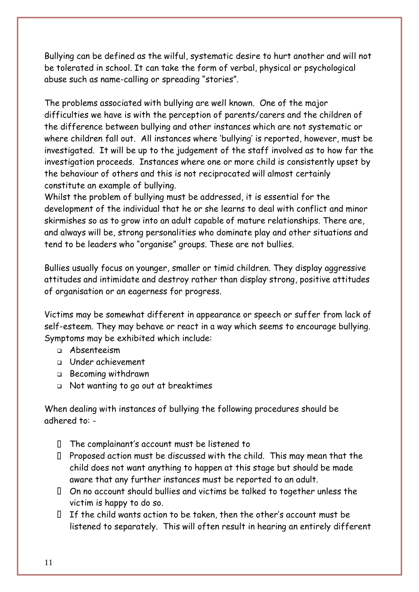Bullying can be defined as the wilful, systematic desire to hurt another and will not be tolerated in school. It can take the form of verbal, physical or psychological abuse such as name-calling or spreading "stories".

The problems associated with bullying are well known. One of the major difficulties we have is with the perception of parents/carers and the children of the difference between bullying and other instances which are not systematic or where children fall out. All instances where 'bullying' is reported, however, must be investigated. It will be up to the judgement of the staff involved as to how far the investigation proceeds. Instances where one or more child is consistently upset by the behaviour of others and this is not reciprocated will almost certainly constitute an example of bullying.

Whilst the problem of bullying must be addressed, it is essential for the development of the individual that he or she learns to deal with conflict and minor skirmishes so as to grow into an adult capable of mature relationships. There are, and always will be, strong personalities who dominate play and other situations and tend to be leaders who "organise" groups. These are not bullies.

Bullies usually focus on younger, smaller or timid children. They display aggressive attitudes and intimidate and destroy rather than display strong, positive attitudes of organisation or an eagerness for progress.

Victims may be somewhat different in appearance or speech or suffer from lack of self-esteem. They may behave or react in a way which seems to encourage bullying. Symptoms may be exhibited which include:

- ❑ Absenteeism
- ❑ Under achievement
- ❑ Becoming withdrawn
- ❑ Not wanting to go out at breaktimes

When dealing with instances of bullying the following procedures should be adhered to: -

- $\Box$  The complainant's account must be listened to
- $\Box$  Proposed action must be discussed with the child. This may mean that the child does not want anything to happen at this stage but should be made aware that any further instances must be reported to an adult.
- On no account should bullies and victims be talked to together unless the victim is happy to do so.
- $\Box$  If the child wants action to be taken, then the other's account must be listened to separately. This will often result in hearing an entirely different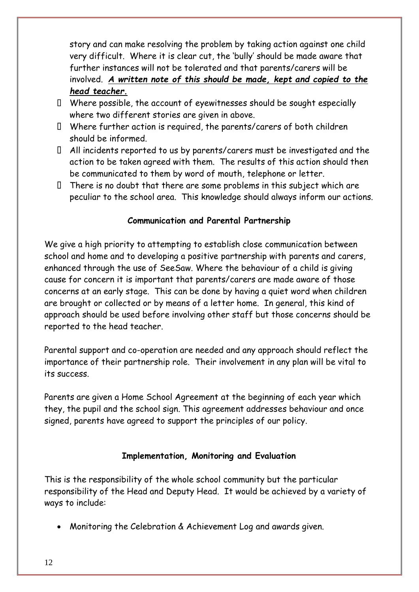story and can make resolving the problem by taking action against one child very difficult. Where it is clear cut, the 'bully' should be made aware that further instances will not be tolerated and that parents/carers will be involved. *A written note of this should be made, kept and copied to the head teacher.*

- $\Box$  Where possible, the account of eyewitnesses should be sought especially where two different stories are given in above.
- Where further action is required, the parents/carers of both children should be informed.
- All incidents reported to us by parents/carers must be investigated and the action to be taken agreed with them. The results of this action should then be communicated to them by word of mouth, telephone or letter.
- $\Box$  There is no doubt that there are some problems in this subject which are peculiar to the school area. This knowledge should always inform our actions.

## **Communication and Parental Partnership**

We give a high priority to attempting to establish close communication between school and home and to developing a positive partnership with parents and carers, enhanced through the use of SeeSaw. Where the behaviour of a child is giving cause for concern it is important that parents/carers are made aware of those concerns at an early stage. This can be done by having a quiet word when children are brought or collected or by means of a letter home. In general, this kind of approach should be used before involving other staff but those concerns should be reported to the head teacher.

Parental support and co-operation are needed and any approach should reflect the importance of their partnership role. Their involvement in any plan will be vital to its success.

Parents are given a Home School Agreement at the beginning of each year which they, the pupil and the school sign. This agreement addresses behaviour and once signed, parents have agreed to support the principles of our policy.

## **Implementation, Monitoring and Evaluation**

This is the responsibility of the whole school community but the particular responsibility of the Head and Deputy Head. It would be achieved by a variety of ways to include:

• Monitoring the Celebration & Achievement Log and awards given.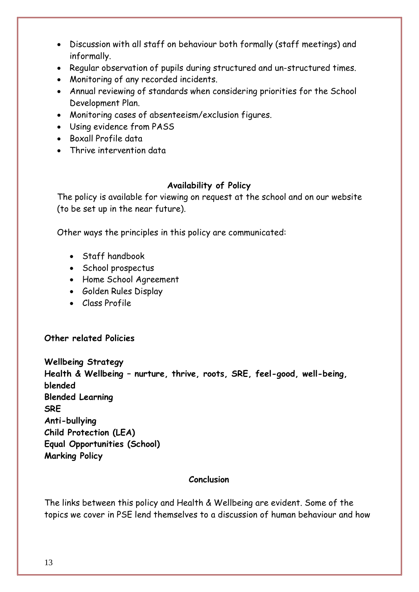- Discussion with all staff on behaviour both formally (staff meetings) and informally.
- Regular observation of pupils during structured and un-structured times.
- Monitoring of any recorded incidents.
- Annual reviewing of standards when considering priorities for the School Development Plan.
- Monitoring cases of absenteeism/exclusion figures.
- Using evidence from PASS
- Boxall Profile data
- Thrive intervention data

### **Availability of Policy**

The policy is available for viewing on request at the school and on our website (to be set up in the near future).

Other ways the principles in this policy are communicated:

- Staff handbook
- School prospectus
- Home School Agreement
- Golden Rules Display
- Class Profile

### **Other related Policies**

**Wellbeing Strategy Health & Wellbeing – nurture, thrive, roots, SRE, feel-good, well-being, blended Blended Learning SRE Anti-bullying Child Protection (LEA) Equal Opportunities (School) Marking Policy**

### **Conclusion**

The links between this policy and Health & Wellbeing are evident. Some of the topics we cover in PSE lend themselves to a discussion of human behaviour and how